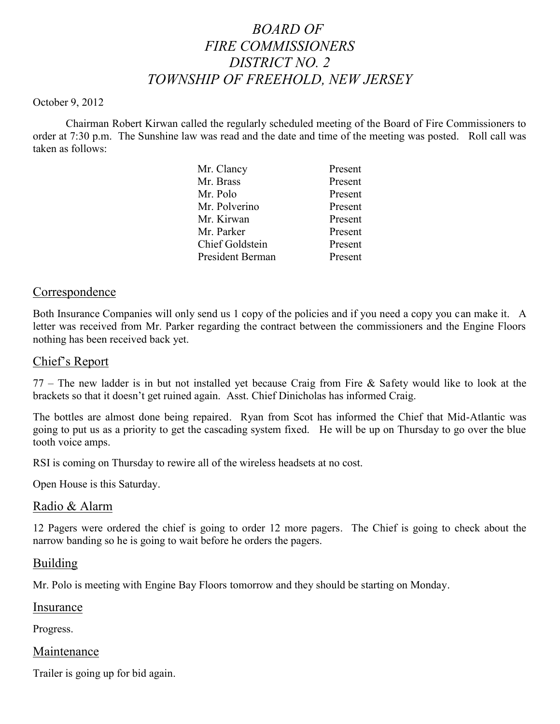# *BOARD OF FIRE COMMISSIONERS DISTRICT NO. 2 TOWNSHIP OF FREEHOLD, NEW JERSEY*

#### October 9, 2012

Chairman Robert Kirwan called the regularly scheduled meeting of the Board of Fire Commissioners to order at 7:30 p.m. The Sunshine law was read and the date and time of the meeting was posted. Roll call was taken as follows:

| Mr. Clancy             | Present |
|------------------------|---------|
| Mr. Brass              | Present |
| Mr. Polo               | Present |
| Mr. Polverino          | Present |
| Mr. Kirwan             | Present |
| Mr. Parker             | Present |
| <b>Chief Goldstein</b> | Present |
| President Berman       | Present |
|                        |         |

### Correspondence

Both Insurance Companies will only send us 1 copy of the policies and if you need a copy you can make it. A letter was received from Mr. Parker regarding the contract between the commissioners and the Engine Floors nothing has been received back yet.

### Chief's Report

77 – The new ladder is in but not installed yet because Craig from Fire & Safety would like to look at the brackets so that it doesn't get ruined again. Asst. Chief Dinicholas has informed Craig.

The bottles are almost done being repaired. Ryan from Scot has informed the Chief that Mid-Atlantic was going to put us as a priority to get the cascading system fixed. He will be up on Thursday to go over the blue tooth voice amps.

RSI is coming on Thursday to rewire all of the wireless headsets at no cost.

Open House is this Saturday.

### Radio & Alarm

12 Pagers were ordered the chief is going to order 12 more pagers. The Chief is going to check about the narrow banding so he is going to wait before he orders the pagers.

### Building

Mr. Polo is meeting with Engine Bay Floors tomorrow and they should be starting on Monday.

# Insurance

Progress.

### Maintenance

Trailer is going up for bid again.